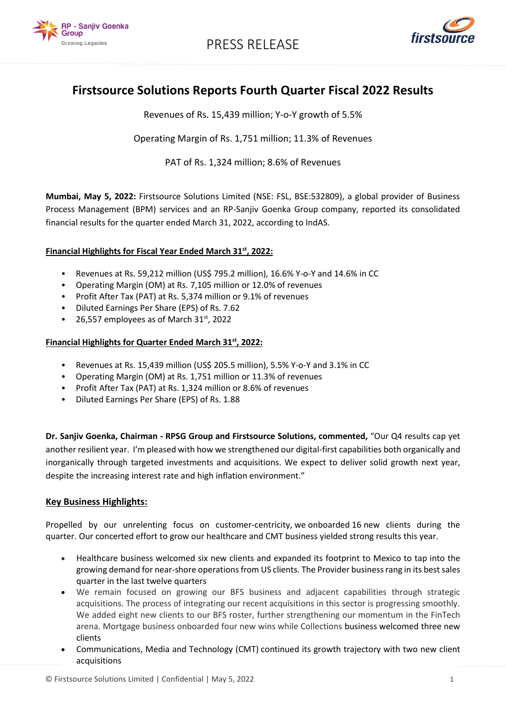

PRESS RELEASE



## **Firstsource Solutions Reports Fourth Quarter Fiscal 2022 Results**

Revenues of Rs. 15,439 million; Y-o-Y growth of 5.5%

Operating Margin of Rs. 1,751 million; 11.3% of Revenues

PAT of Rs. 1,324 million; 8.6% of Revenues

**Mumbai, May 5, 2022:** Firstsource Solutions Limited (NSE: FSL, BSE:532809), a global provider of Business Process Management (BPM) services and an RP-Sanjiv Goenka Group company, reported its consolidated financial results for the quarter ended March 31, 2022, according to IndAS.

### **Financial Highlights for Fiscal Year Ended March 31st, 2022:**

- Revenues at Rs. 59,212 million (US\$ 795.2 million), 16.6% Y-o-Y and 14.6% in CC
- Operating Margin (OM) at Rs. 7,105 million or 12.0% of revenues
- Profit After Tax (PAT) at Rs. 5,374 million or 9.1% of revenues
- Diluted Earnings Per Share (EPS) of Rs. 7.62
- 26,557 employees as of March  $31<sup>st</sup>$ , 2022

### **Financial Highlights for Quarter Ended March 31st, 2022:**

- Revenues at Rs. 15,439 million (US\$ 205.5 million), 5.5% Y-o-Y and 3.1% in CC
- Operating Margin (OM) at Rs. 1,751 million or 11.3% of revenues
- Profit After Tax (PAT) at Rs. 1,324 million or 8.6% of revenues
- Diluted Earnings Per Share (EPS) of Rs. 1.88

**Dr. Sanjiv Goenka, Chairman - RPSG Group and Firstsource Solutions, commented,** "Our Q4 results cap yet another resilient year. I'm pleased with how we strengthened our digital-first capabilities both organically and inorganically through targeted investments and acquisitions. We expect to deliver solid growth next year, despite the increasing interest rate and high inflation environment."

### **Key Business Highlights:**

Propelled by our unrelenting focus on customer-centricity, we onboarded 16 new clients during the quarter. Our concerted effort to grow our healthcare and CMT business yielded strong results this year.

- Healthcare business welcomed six new clients and expanded its footprint to Mexico to tap into the growing demand for near-shore operations from US clients. The Provider business rang in its best sales quarter in the last twelve quarters
- We remain focused on growing our BFS business and adjacent capabilities through strategic acquisitions. The process of integrating our recent acquisitions in this sector is progressing smoothly. We added eight new clients to our BFS roster, further strengthening our momentum in the FinTech arena. Mortgage business onboarded four new wins while Collections business welcomed three new clients
- Communications, Media and Technology (CMT) continued its growth trajectory with two new client acquisitions